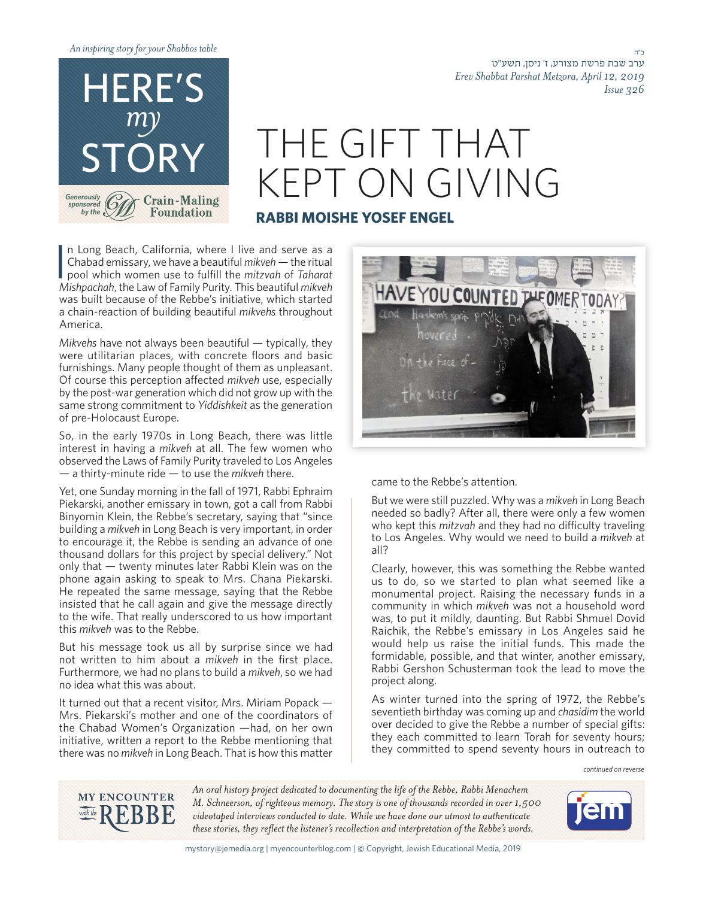

## THE GIFT THAT KEPT ON GIVING

## **RABBI MOISHE YOSEF ENGEL**

In Long Beach, California, where I live and serve as a Chabad emissary, we have a beautiful *mikveh* — the ritual pool which women use to fulfill the *mitzvah* of *Taharat Mishpachah*, the Law of Family Purity. This beauti n Long Beach, California, where I live and serve as a Chabad emissary, we have a beautiful *mikveh* - the ritual pool which women use to fulfill the *mitzvah* of *Taharat* was built because of the Rebbe's initiative, which started a chain-reaction of building beautiful mikvehs throughout .America

Mikvehs have not always been beautiful — typically, they were utilitarian places, with concrete floors and basic furnishings. Many people thought of them as unpleasant. Of course this perception affected *mikveh* use, especially by the post-war generation which did not grow up with the same strong commitment to Yiddishkeit as the generation of pre-Holocaust Europe.

So, in the early 1970s in Long Beach, there was little interest in having a *mikveh* at all. The few women who observed the Laws of Family Purity traveled to Los Angeles  $-$  a thirty-minute ride  $-$  to use the *mikveh* there.

Yet, one Sunday morning in the fall of 1971, Rabbi Ephraim Piekarski, another emissary in town, got a call from Rabbi Binyomin Klein, the Rebbe's secretary, saying that "since building a *mikveh* in Long Beach is very important, in order to encourage it, the Rebbe is sending an advance of one thousand dollars for this project by special delivery." Not only that  $-$  twenty minutes later Rabbi Klein was on the phone again asking to speak to Mrs. Chana Piekarski. He repeated the same message, saying that the Rebbe insisted that he call again and give the message directly to the wife. That really underscored to us how important this *mikveh* was to the Rebbe.

But his message took us all by surprise since we had not written to him about a *mikveh* in the first place. Furthermore, we had no plans to build a *mikveh*, so we had no idea what this was about.

It turned out that a recent visitor, Mrs. Miriam Popack  $-$ Mrs. Piekarski's mother and one of the coordinators of the Chabad Women's Organization —had, on her own initiative, written a report to the Rebbe mentioning that there was no *mikveh* in Long Beach. That is how this matter



came to the Rebbe's attention.

But we were still puzzled. Why was a *mikveh* in Long Beach needed so badly? After all, there were only a few women who kept this *mitzvah* and they had no difficulty traveling to Los Angeles. Why would we need to build a *mikveh* at ?all

Clearly, however, this was something the Rebbe wanted us to do, so we started to plan what seemed like a monumental project. Raising the necessary funds in a community in which mikveh was not a household word was, to put it mildly, daunting. But Rabbi Shmuel Dovid Raichik, the Rebbe's emissary in Los Angeles said he would help us raise the initial funds. This made the formidable, possible, and that winter, another emissary, Rabbi Gershon Schusterman took the lead to move the project along.

As winter turned into the spring of 1972, the Rebbe's seventieth birthday was coming up and *chasidim* the world over decided to give the Rebbe a number of special gifts: they each committed to learn Torah for seventy hours; they committed to spend seventy hours in outreach to

*reverse on continued*



An oral history project dedicated to documenting the life of the Rebbe, Rabbi Menachem *M. Schneerson, of righteous memory. The story is one of thousands recorded in over 1,500* videotaped interviews conducted to date. While we have done our utmost to authenticate these stories, they reflect the listener's recollection and interpretation of the Rebbe's words.



ב"ה ערב שבת פרשת מצורע, ז' ניסן, תשע״ט

*326 Issue*

*2019 12, April ,Metzora Parshat Shabbat Erev*